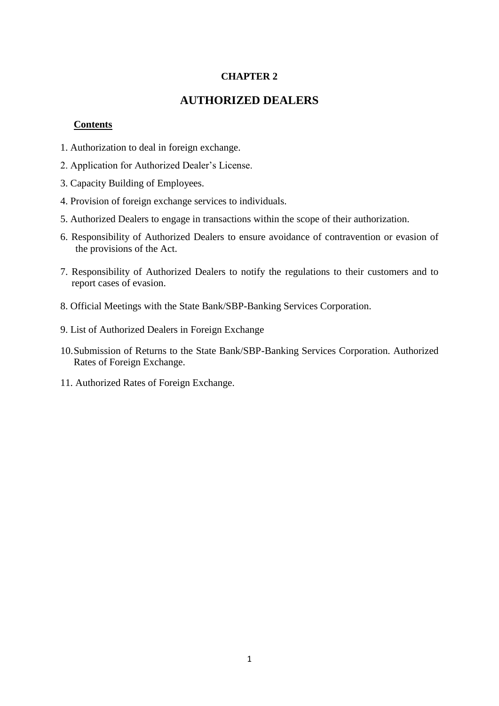## **CHAPTER 2**

# **AUTHORIZED DEALERS**

#### **Contents**

- 1. Authorization to deal in foreign exchange.
- 2. Application for Authorized Dealer's License.
- 3. Capacity Building of Employees.
- 4. Provision of foreign exchange services to individuals.
- 5. Authorized Dealers to engage in transactions within the scope of their authorization.
- 6. Responsibility of Authorized Dealers to ensure avoidance of contravention or evasion of the provisions of the Act.
- 7. Responsibility of Authorized Dealers to notify the regulations to their customers and to report cases of evasion.
- 8. Official Meetings with the State Bank/SBP-Banking Services Corporation.
- 9. List of Authorized Dealers in Foreign Exchange
- 10.Submission of Returns to the State Bank/SBP-Banking Services Corporation. Authorized Rates of Foreign Exchange.
- 11. Authorized Rates of Foreign Exchange.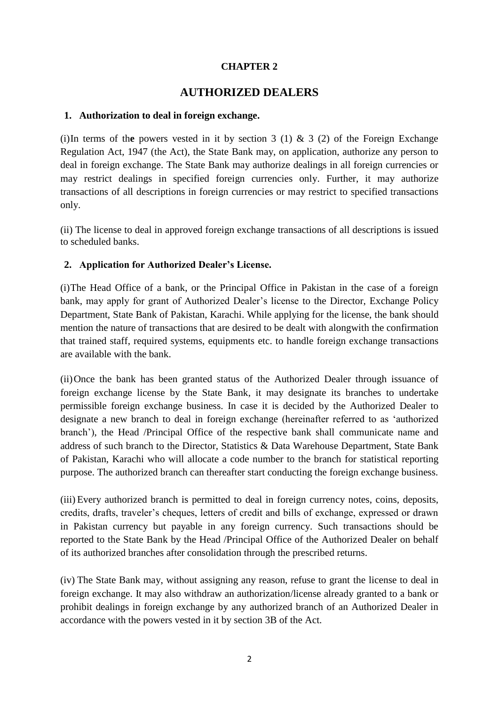# **CHAPTER 2**

# **AUTHORIZED DEALERS**

### **1. Authorization to deal in foreign exchange.**

(i)In terms of the powers vested in it by section 3 (1)  $\&$  3 (2) of the Foreign Exchange Regulation Act, 1947 (the Act), the State Bank may, on application, authorize any person to deal in foreign exchange. The State Bank may authorize dealings in all foreign currencies or may restrict dealings in specified foreign currencies only. Further, it may authorize transactions of all descriptions in foreign currencies or may restrict to specified transactions only.

(ii) The license to deal in approved foreign exchange transactions of all descriptions is issued to scheduled banks.

# **2. Application for Authorized Dealer's License.**

(i)The Head Office of a bank, or the Principal Office in Pakistan in the case of a foreign bank, may apply for grant of Authorized Dealer's license to the Director, Exchange Policy Department, State Bank of Pakistan, Karachi. While applying for the license, the bank should mention the nature of transactions that are desired to be dealt with alongwith the confirmation that trained staff, required systems, equipments etc. to handle foreign exchange transactions are available with the bank.

(ii)Once the bank has been granted status of the Authorized Dealer through issuance of foreign exchange license by the State Bank, it may designate its branches to undertake permissible foreign exchange business. In case it is decided by the Authorized Dealer to designate a new branch to deal in foreign exchange (hereinafter referred to as 'authorized branch'), the Head /Principal Office of the respective bank shall communicate name and address of such branch to the Director, Statistics & Data Warehouse Department, State Bank of Pakistan, Karachi who will allocate a code number to the branch for statistical reporting purpose. The authorized branch can thereafter start conducting the foreign exchange business.

(iii) Every authorized branch is permitted to deal in foreign currency notes, coins, deposits, credits, drafts, traveler's cheques, letters of credit and bills of exchange, expressed or drawn in Pakistan currency but payable in any foreign currency. Such transactions should be reported to the State Bank by the Head /Principal Office of the Authorized Dealer on behalf of its authorized branches after consolidation through the prescribed returns.

(iv) The State Bank may, without assigning any reason, refuse to grant the license to deal in foreign exchange. It may also withdraw an authorization/license already granted to a bank or prohibit dealings in foreign exchange by any authorized branch of an Authorized Dealer in accordance with the powers vested in it by section 3B of the Act.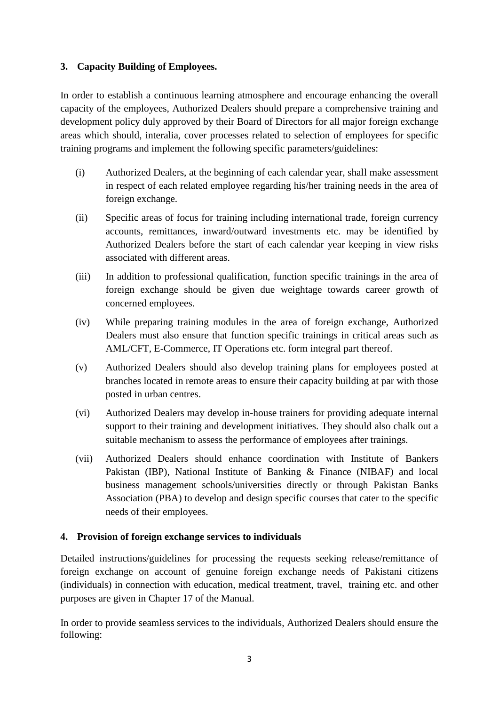# **3. Capacity Building of Employees.**

In order to establish a continuous learning atmosphere and encourage enhancing the overall capacity of the employees, Authorized Dealers should prepare a comprehensive training and development policy duly approved by their Board of Directors for all major foreign exchange areas which should, interalia, cover processes related to selection of employees for specific training programs and implement the following specific parameters/guidelines:

- (i) Authorized Dealers, at the beginning of each calendar year, shall make assessment in respect of each related employee regarding his/her training needs in the area of foreign exchange.
- (ii) Specific areas of focus for training including international trade, foreign currency accounts, remittances, inward/outward investments etc. may be identified by Authorized Dealers before the start of each calendar year keeping in view risks associated with different areas.
- (iii) In addition to professional qualification, function specific trainings in the area of foreign exchange should be given due weightage towards career growth of concerned employees.
- (iv) While preparing training modules in the area of foreign exchange, Authorized Dealers must also ensure that function specific trainings in critical areas such as AML/CFT, E-Commerce, IT Operations etc. form integral part thereof.
- (v) Authorized Dealers should also develop training plans for employees posted at branches located in remote areas to ensure their capacity building at par with those posted in urban centres.
- (vi) Authorized Dealers may develop in-house trainers for providing adequate internal support to their training and development initiatives. They should also chalk out a suitable mechanism to assess the performance of employees after trainings.
- (vii) Authorized Dealers should enhance coordination with Institute of Bankers Pakistan (IBP), National Institute of Banking & Finance (NIBAF) and local business management schools/universities directly or through Pakistan Banks Association (PBA) to develop and design specific courses that cater to the specific needs of their employees.

# **4. Provision of foreign exchange services to individuals**

Detailed instructions/guidelines for processing the requests seeking release/remittance of foreign exchange on account of genuine foreign exchange needs of Pakistani citizens (individuals) in connection with education, medical treatment, travel, training etc. and other purposes are given in Chapter 17 of the Manual.

In order to provide seamless services to the individuals, Authorized Dealers should ensure the following: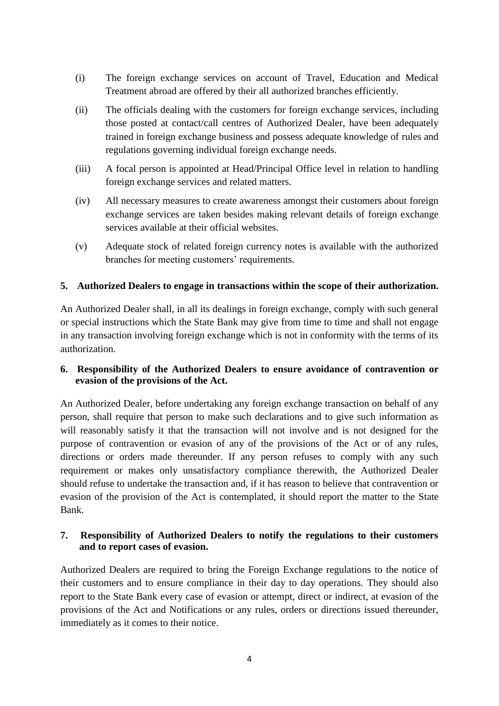- (i) The foreign exchange services on account of Travel, Education and Medical Treatment abroad are offered by their all authorized branches efficiently.
- (ii) The officials dealing with the customers for foreign exchange services, including those posted at contact/call centres of Authorized Dealer, have been adequately trained in foreign exchange business and possess adequate knowledge of rules and regulations governing individual foreign exchange needs.
- (iii) A focal person is appointed at Head/Principal Office level in relation to handling foreign exchange services and related matters.
- (iv) All necessary measures to create awareness amongst their customers about foreign exchange services are taken besides making relevant details of foreign exchange services available at their official websites.
- (v) Adequate stock of related foreign currency notes is available with the authorized branches for meeting customers' requirements.

# **5. Authorized Dealers to engage in transactions within the scope of their authorization.**

An Authorized Dealer shall, in all its dealings in foreign exchange, comply with such general or special instructions which the State Bank may give from time to time and shall not engage in any transaction involving foreign exchange which is not in conformity with the terms of its authorization.

## **6. Responsibility of the Authorized Dealers to ensure avoidance of contravention or evasion of the provisions of the Act.**

An Authorized Dealer, before undertaking any foreign exchange transaction on behalf of any person, shall require that person to make such declarations and to give such information as will reasonably satisfy it that the transaction will not involve and is not designed for the purpose of contravention or evasion of any of the provisions of the Act or of any rules, directions or orders made thereunder. If any person refuses to comply with any such requirement or makes only unsatisfactory compliance therewith, the Authorized Dealer should refuse to undertake the transaction and, if it has reason to believe that contravention or evasion of the provision of the Act is contemplated, it should report the matter to the State Bank.

## **7. Responsibility of Authorized Dealers to notify the regulations to their customers and to report cases of evasion.**

Authorized Dealers are required to bring the Foreign Exchange regulations to the notice of their customers and to ensure compliance in their day to day operations. They should also report to the State Bank every case of evasion or attempt, direct or indirect, at evasion of the provisions of the Act and Notifications or any rules, orders or directions issued thereunder, immediately as it comes to their notice.